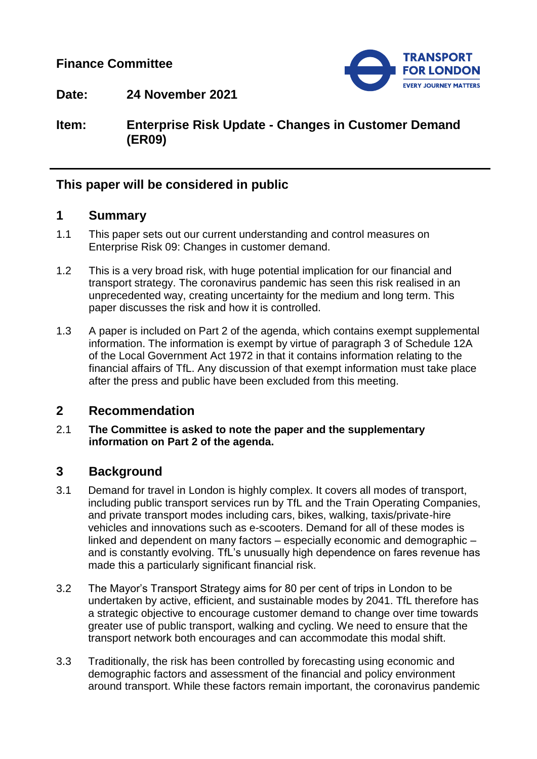# **Finance Committee**



**Date: 24 November 2021**

**Item: Enterprise Risk Update - Changes in Customer Demand (ER09)**

# **This paper will be considered in public**

## **1 Summary**

- 1.1 This paper sets out our current understanding and control measures on Enterprise Risk 09: Changes in customer demand.
- 1.2 This is a very broad risk, with huge potential implication for our financial and transport strategy. The coronavirus pandemic has seen this risk realised in an unprecedented way, creating uncertainty for the medium and long term. This paper discusses the risk and how it is controlled.
- 1.3 A paper is included on Part 2 of the agenda, which contains exempt supplemental information. The information is exempt by virtue of paragraph 3 of Schedule 12A of the Local Government Act 1972 in that it contains information relating to the financial affairs of TfL. Any discussion of that exempt information must take place after the press and public have been excluded from this meeting.

## **2 Recommendation**

2.1 **The Committee is asked to note the paper and the supplementary information on Part 2 of the agenda.**

## **3 Background**

- 3.1 Demand for travel in London is highly complex. It covers all modes of transport, including public transport services run by TfL and the Train Operating Companies, and private transport modes including cars, bikes, walking, taxis/private-hire vehicles and innovations such as e-scooters. Demand for all of these modes is linked and dependent on many factors – especially economic and demographic – and is constantly evolving. TfL's unusually high dependence on fares revenue has made this a particularly significant financial risk.
- 3.2 The Mayor's Transport Strategy aims for 80 per cent of trips in London to be undertaken by active, efficient, and sustainable modes by 2041. TfL therefore has a strategic objective to encourage customer demand to change over time towards greater use of public transport, walking and cycling. We need to ensure that the transport network both encourages and can accommodate this modal shift.
- 3.3 Traditionally, the risk has been controlled by forecasting using economic and demographic factors and assessment of the financial and policy environment around transport. While these factors remain important, the coronavirus pandemic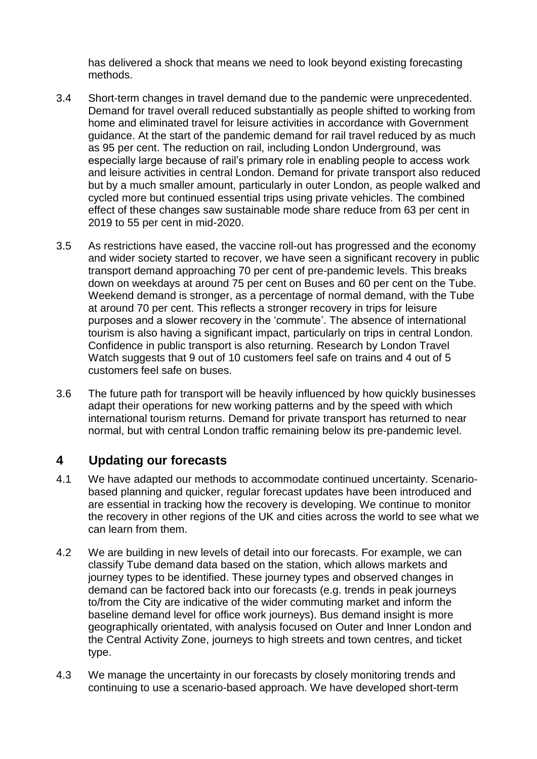has delivered a shock that means we need to look beyond existing forecasting methods.

- 3.4 Short-term changes in travel demand due to the pandemic were unprecedented. Demand for travel overall reduced substantially as people shifted to working from home and eliminated travel for leisure activities in accordance with Government guidance. At the start of the pandemic demand for rail travel reduced by as much as 95 per cent. The reduction on rail, including London Underground, was especially large because of rail's primary role in enabling people to access work and leisure activities in central London. Demand for private transport also reduced but by a much smaller amount, particularly in outer London, as people walked and cycled more but continued essential trips using private vehicles. The combined effect of these changes saw sustainable mode share reduce from 63 per cent in 2019 to 55 per cent in mid-2020.
- 3.5 As restrictions have eased, the vaccine roll-out has progressed and the economy and wider society started to recover, we have seen a significant recovery in public transport demand approaching 70 per cent of pre-pandemic levels. This breaks down on weekdays at around 75 per cent on Buses and 60 per cent on the Tube. Weekend demand is stronger, as a percentage of normal demand, with the Tube at around 70 per cent. This reflects a stronger recovery in trips for leisure purposes and a slower recovery in the 'commute'. The absence of international tourism is also having a significant impact, particularly on trips in central London. Confidence in public transport is also returning. Research by London Travel Watch suggests that 9 out of 10 customers feel safe on trains and 4 out of 5 customers feel safe on buses.
- 3.6 The future path for transport will be heavily influenced by how quickly businesses adapt their operations for new working patterns and by the speed with which international tourism returns. Demand for private transport has returned to near normal, but with central London traffic remaining below its pre-pandemic level.

# **4 Updating our forecasts**

- 4.1 We have adapted our methods to accommodate continued uncertainty. Scenariobased planning and quicker, regular forecast updates have been introduced and are essential in tracking how the recovery is developing. We continue to monitor the recovery in other regions of the UK and cities across the world to see what we can learn from them.
- 4.2 We are building in new levels of detail into our forecasts. For example, we can classify Tube demand data based on the station, which allows markets and journey types to be identified. These journey types and observed changes in demand can be factored back into our forecasts (e.g. trends in peak journeys to/from the City are indicative of the wider commuting market and inform the baseline demand level for office work journeys). Bus demand insight is more geographically orientated, with analysis focused on Outer and Inner London and the Central Activity Zone, journeys to high streets and town centres, and ticket type.
- 4.3 We manage the uncertainty in our forecasts by closely monitoring trends and continuing to use a scenario-based approach. We have developed short-term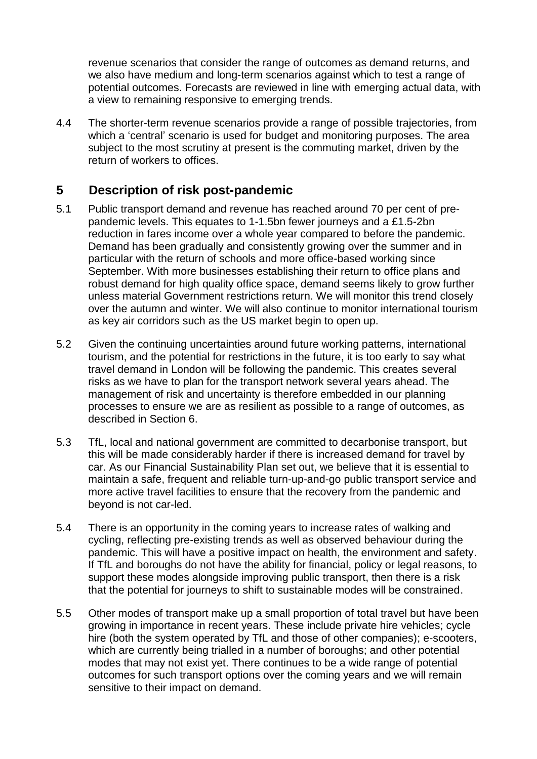revenue scenarios that consider the range of outcomes as demand returns, and we also have medium and long-term scenarios against which to test a range of potential outcomes. Forecasts are reviewed in line with emerging actual data, with a view to remaining responsive to emerging trends.

4.4 The shorter-term revenue scenarios provide a range of possible trajectories, from which a 'central' scenario is used for budget and monitoring purposes. The area subject to the most scrutiny at present is the commuting market, driven by the return of workers to offices.

# **5 Description of risk post-pandemic**

- 5.1 Public transport demand and revenue has reached around 70 per cent of prepandemic levels. This equates to 1-1.5bn fewer journeys and a £1.5-2bn reduction in fares income over a whole year compared to before the pandemic. Demand has been gradually and consistently growing over the summer and in particular with the return of schools and more office-based working since September. With more businesses establishing their return to office plans and robust demand for high quality office space, demand seems likely to grow further unless material Government restrictions return. We will monitor this trend closely over the autumn and winter. We will also continue to monitor international tourism as key air corridors such as the US market begin to open up.
- 5.2 Given the continuing uncertainties around future working patterns, international tourism, and the potential for restrictions in the future, it is too early to say what travel demand in London will be following the pandemic. This creates several risks as we have to plan for the transport network several years ahead. The management of risk and uncertainty is therefore embedded in our planning processes to ensure we are as resilient as possible to a range of outcomes, as described in Section 6.
- 5.3 TfL, local and national government are committed to decarbonise transport, but this will be made considerably harder if there is increased demand for travel by car. As our Financial Sustainability Plan set out, we believe that it is essential to maintain a safe, frequent and reliable turn-up-and-go public transport service and more active travel facilities to ensure that the recovery from the pandemic and beyond is not car-led.
- 5.4 There is an opportunity in the coming years to increase rates of walking and cycling, reflecting pre-existing trends as well as observed behaviour during the pandemic. This will have a positive impact on health, the environment and safety. If TfL and boroughs do not have the ability for financial, policy or legal reasons, to support these modes alongside improving public transport, then there is a risk that the potential for journeys to shift to sustainable modes will be constrained.
- 5.5 Other modes of transport make up a small proportion of total travel but have been growing in importance in recent years. These include private hire vehicles; cycle hire (both the system operated by TfL and those of other companies); e-scooters, which are currently being trialled in a number of boroughs; and other potential modes that may not exist yet. There continues to be a wide range of potential outcomes for such transport options over the coming years and we will remain sensitive to their impact on demand.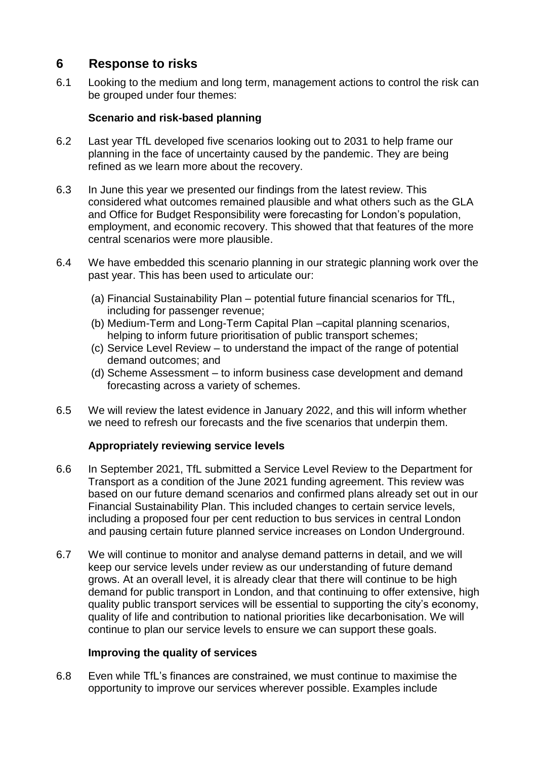# **6 Response to risks**

6.1 Looking to the medium and long term, management actions to control the risk can be grouped under four themes:

## **Scenario and risk-based planning**

- 6.2 Last year TfL developed five scenarios looking out to 2031 to help frame our planning in the face of uncertainty caused by the pandemic. They are being refined as we learn more about the recovery.
- 6.3 In June this year we presented our findings from the latest review. This considered what outcomes remained plausible and what others such as the GLA and Office for Budget Responsibility were forecasting for London's population, employment, and economic recovery. This showed that that features of the more central scenarios were more plausible.
- 6.4 We have embedded this scenario planning in our strategic planning work over the past year. This has been used to articulate our:
	- (a) Financial Sustainability Plan potential future financial scenarios for TfL, including for passenger revenue;
	- (b) Medium-Term and Long-Term Capital Plan –capital planning scenarios, helping to inform future prioritisation of public transport schemes;
	- (c) Service Level Review to understand the impact of the range of potential demand outcomes; and
	- (d) Scheme Assessment to inform business case development and demand forecasting across a variety of schemes.
- 6.5 We will review the latest evidence in January 2022, and this will inform whether we need to refresh our forecasts and the five scenarios that underpin them.

#### **Appropriately reviewing service levels**

- 6.6 In September 2021, TfL submitted a Service Level Review to the Department for Transport as a condition of the June 2021 funding agreement. This review was based on our future demand scenarios and confirmed plans already set out in our Financial Sustainability Plan. This included changes to certain service levels, including a proposed four per cent reduction to bus services in central London and pausing certain future planned service increases on London Underground.
- 6.7 We will continue to monitor and analyse demand patterns in detail, and we will keep our service levels under review as our understanding of future demand grows. At an overall level, it is already clear that there will continue to be high demand for public transport in London, and that continuing to offer extensive, high quality public transport services will be essential to supporting the city's economy, quality of life and contribution to national priorities like decarbonisation. We will continue to plan our service levels to ensure we can support these goals.

#### **Improving the quality of services**

6.8 Even while TfL's finances are constrained, we must continue to maximise the opportunity to improve our services wherever possible. Examples include